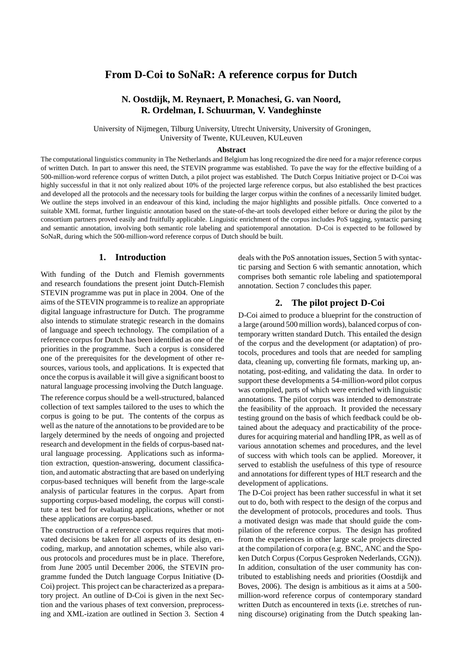# **From D-Coi to SoNaR: A reference corpus for Dutch**

## **N. Oostdijk, M. Reynaert, P. Monachesi, G. van Noord, R. Ordelman, I. Schuurman, V. Vandeghinste**

University of Nijmegen, Tilburg University, Utrecht University, University of Groningen, University of Twente, KULeuven, KULeuven

#### **Abstract**

The computational linguistics community in The Netherlands and Belgium has long recognized the dire need for a major reference corpus of written Dutch. In part to answer this need, the STEVIN programme was established. To pave the way for the effective building of a 500-million-word reference corpus of written Dutch, a pilot project was established. The Dutch Corpus Initiative project or D-Coi was highly successful in that it not only realized about 10% of the projected large reference corpus, but also established the best practices and developed all the protocols and the necessary tools for building the larger corpus within the confines of a necessarily limited budget. We outline the steps involved in an endeavour of this kind, including the major highlights and possible pitfalls. Once converted to a suitable XML format, further linguistic annotation based on the state-of-the-art tools developed either before or during the pilot by the consortium partners proved easily and fruitfully applicable. Linguistic enrichment of the corpus includes PoS tagging, syntactic parsing and semantic annotation, involving both semantic role labeling and spatiotemporal annotation. D-Coi is expected to be followed by SoNaR, during which the 500-million-word reference corpus of Dutch should be built.

#### **1. Introduction**

With funding of the Dutch and Flemish governments and research foundations the present joint Dutch-Flemish STEVIN programme was put in place in 2004. One of the aims of the STEVIN programme is to realize an appropriate digital language infrastructure for Dutch. The programme also intends to stimulate strategic research in the domains of language and speech technology. The compilation of a reference corpus for Dutch has been identified as one of the priorities in the programme. Such a corpus is considered one of the prerequisites for the development of other resources, various tools, and applications. It is expected that once the corpusis available it will give a significant boost to natural language processing involving the Dutch language.

The reference corpus should be a well-structured, balanced collection of text samples tailored to the uses to which the corpus is going to be put. The contents of the corpus as well as the nature of the annotations to be provided are to be largely determined by the needs of ongoing and projected research and development in the fields of corpus-based natural language processing. Applications such as information extraction, question-answering, document classification, and automatic abstracting that are based on underlying corpus-based techniques will benefit from the large-scale analysis of particular features in the corpus. Apart from supporting corpus-based modeling, the corpus will constitute a test bed for evaluating applications, whether or not these applications are corpus-based.

The construction of a reference corpus requires that motivated decisions be taken for all aspects of its design, encoding, markup, and annotation schemes, while also various protocols and procedures must be in place. Therefore, from June 2005 until December 2006, the STEVIN programme funded the Dutch language Corpus Initiative (D-Coi) project. This project can be characterized as a preparatory project. An outline of D-Coi is given in the next Section and the various phases of text conversion, preprocessing and XML-ization are outlined in Section 3. Section 4 deals with the PoS annotation issues, Section 5 with syntactic parsing and Section 6 with semantic annotation, which comprises both semantic role labeling and spatiotemporal annotation. Section 7 concludes this paper.

### **2. The pilot project D-Coi**

D-Coi aimed to produce a blueprint for the construction of a large (around 500 million words), balanced corpus of contemporary written standard Dutch. This entailed the design of the corpus and the development (or adaptation) of protocols, procedures and tools that are needed for sampling data, cleaning up, converting file formats, marking up, annotating, post-editing, and validating the data. In order to support these developments a 54-million-word pilot corpus was compiled, parts of which were enriched with linguistic annotations. The pilot corpus was intended to demonstrate the feasibility of the approach. It provided the necessary testing ground on the basis of which feedback could be obtained about the adequacy and practicability of the procedures for acquiring material and handling IPR, as well as of various annotation schemes and procedures, and the level of success with which tools can be applied. Moreover, it served to establish the usefulness of this type of resource and annotations for different types of HLT research and the development of applications.

The D-Coi project has been rather successful in what it set out to do, both with respect to the design of the corpus and the development of protocols, procedures and tools. Thus a motivated design was made that should guide the compilation of the reference corpus. The design has profited from the experiences in other large scale projects directed at the compilation of corpora (e.g. BNC, ANC and the Spoken Dutch Corpus (Corpus Gesproken Nederlands, CGN)). In addition, consultation of the user community has contributed to establishing needs and priorities (Oostdijk and Boves, 2006). The design is ambitious as it aims at a 500 million-word reference corpus of contemporary standard written Dutch as encountered in texts (i.e. stretches of running discourse) originating from the Dutch speaking lan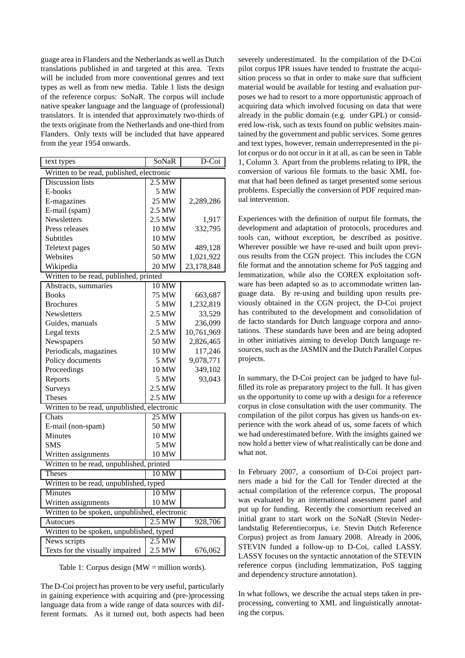guage area in Flanders and the Netherlands as well as Dutch translations published in and targeted at this area. Texts will be included from more conventional genres and text types as well as from new media. Table 1 lists the design of the reference corpus: SoNaR. The corpus will include native speaker language and the language of (professional) translators. It is intended that approximately two-thirds of the texts originate from the Netherlands and one-third from Flanders. Only texts will be included that have appeared from the year 1954 onwards.

| text types                                    | SoNaR             | D-Coi      |  |  |
|-----------------------------------------------|-------------------|------------|--|--|
| Written to be read, published, electronic     |                   |            |  |  |
| <b>Discussion</b> lists                       | $2.5$ MW          |            |  |  |
| E-books                                       | 5 MW              |            |  |  |
| E-magazines                                   | 25 MW             | 2,289,286  |  |  |
| E-mail (spam)                                 | 2.5 MW            |            |  |  |
| <b>Newsletters</b>                            | 2.5 MW            | 1,917      |  |  |
| Press releases                                | 10 MW             | 332,795    |  |  |
| Subtitles                                     | 10 MW             |            |  |  |
| Teletext pages                                | 50 MW             | 489,128    |  |  |
| Websites                                      | 50 MW             | 1,021,922  |  |  |
| Wikipedia                                     | 20 MW             | 23,178,848 |  |  |
| Written to be read, published, printed        |                   |            |  |  |
| Abstracts, summaries                          | 10 MW             |            |  |  |
| <b>Books</b>                                  | 75 MW             | 663,687    |  |  |
| <b>Brochures</b>                              | 5 MW              | 1,232,819  |  |  |
| Newsletters                                   | 2.5 MW            | 33,529     |  |  |
| Guides, manuals                               | 5 MW              | 236,099    |  |  |
| Legal texts                                   | 2.5 MW            | 10,761,969 |  |  |
| Newspapers                                    | 50 MW             | 2,826,465  |  |  |
| Periodicals, magazines                        | 10 MW             | 117,246    |  |  |
| Policy documents                              | 5 MW              | 9,078,771  |  |  |
| Proceedings                                   | 10 MW             | 349,102    |  |  |
| Reports                                       | 5 MW              | 93,043     |  |  |
| Surveys                                       | 2.5 MW            |            |  |  |
| <b>Theses</b>                                 | 2.5 MW            |            |  |  |
| Written to be read, unpublished, electronic   |                   |            |  |  |
| Chats                                         | 25 MW             |            |  |  |
| E-mail (non-spam)                             | 50 MW             |            |  |  |
| Minutes                                       | 10 MW             |            |  |  |
| <b>SMS</b>                                    | 5 MW              |            |  |  |
| Written assignments                           | 10 MW             |            |  |  |
| Written to be read, unpublished, printed      |                   |            |  |  |
| <b>Theses</b>                                 | 10 MW             |            |  |  |
| Written to be read, unpublished, typed        |                   |            |  |  |
| <b>Minutes</b>                                | $10\,\mathrm{MW}$ |            |  |  |
| Written assignments                           | 10 MW             |            |  |  |
| Written to be spoken, unpublished, electronic |                   |            |  |  |
| Autocues                                      | $2.5$ MW          | 928,706    |  |  |
| Written to be spoken, unpublished, typed      |                   |            |  |  |
| News scripts                                  | $2.5$ MW          |            |  |  |
| Texts for the visually impaired               | 2.5 MW            | 676,062    |  |  |

Table 1: Corpus design (MW = million words).

The D-Coi project has proven to be very useful, particularly in gaining experience with acquiring and (pre-)processing language data from a wide range of data sources with different formats. As it turned out, both aspects had been

severely underestimated. In the compilation of the D-Coi pilot corpus IPR issues have tended to frustrate the acquisition process so that in order to make sure that sufficient material would be available for testing and evaluation purposes we had to resort to a more opportunistic approach of acquiring data which involved focusing on data that were already in the public domain (e.g. under GPL) or considered low-risk, such as texts found on public websites maintained by the government and public services. Some genres and text types, however, remain underrepresented in the pilot corpus or do not occur in it at all, as can be seen in Table 1, Column 3. Apart from the problems relating to IPR, the conversion of various file formats to the basic XML format that had been defined as target presented some serious problems. Especially the conversion of PDF required manual intervention.

Experiences with the definition of output file formats, the development and adaptation of protocols, procedures and tools can, without exception, be described as positive. Wherever possible we have re-used and built upon previous results from the CGN project. This includes the CGN file format and the annotation scheme for PoS tagging and lemmatization, while also the COREX exploitation software has been adapted so as to accommodate written language data. By re-using and building upon results previously obtained in the CGN project, the D-Coi project has contributed to the development and consolidation of de facto standards for Dutch language corpora and annotations. These standards have been and are being adopted in other initiatives aiming to develop Dutch language resources, such as the JASMIN and the Dutch Parallel Corpus projects.

In summary, the D-Coi project can be judged to have fulfilled its role as preparatory project to the full. It has given us the opportunity to come up with a design for a reference corpus in close consultation with the user community. The compilation of the pilot corpus has given us hands-on experience with the work ahead of us, some facets of which we had underestimated before. With the insights gained we now hold a better view of what realistically can be done and what not.

In February 2007, a consortium of D-Coi project partners made a bid for the Call for Tender directed at the actual compilation of the reference corpus. The proposal was evaluated by an international assessment panel and put up for funding. Recently the consortium received an initial grant to start work on the SoNaR (Stevin Nederlandstalig Referentiecorpus, i.e. Stevin Dutch Reference Corpus) project as from January 2008. Already in 2006, STEVIN funded a follow-up to D-Coi, called LASSY. LASSY focuses on the syntactic annotation of the STEVIN reference corpus (including lemmatization, PoS tagging and dependency structure annotation).

In what follows, we describe the actual steps taken in preprocessing, converting to XML and linguistically annotating the corpus.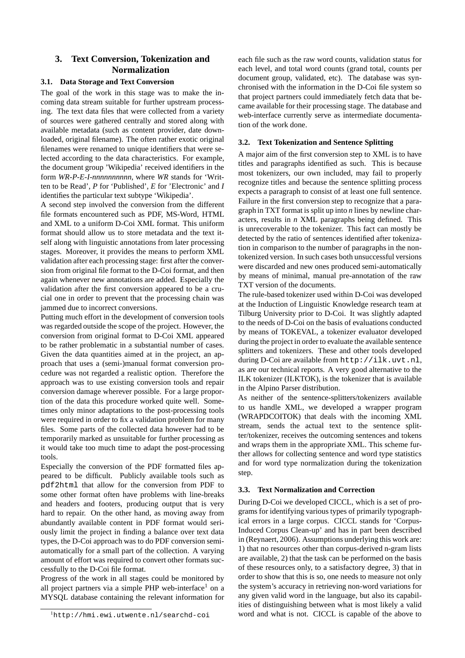## **3. Text Conversion, Tokenization and Normalization**

### **3.1. Data Storage and Text Conversion**

The goal of the work in this stage was to make the incoming data stream suitable for further upstream processing. The text data files that were collected from a variety of sources were gathered centrally and stored along with available metadata (such as content provider, date downloaded, original filename). The often rather exotic original filenames were renamed to unique identifiers that were selected according to the data characteristics. For example, the document group 'Wikipedia' received identifiers in the form *WR-P-E-I-nnnnnnnnnn*, where *WR* stands for 'Written to be Read', *P* for 'Published', *E* for 'Electronic' and *I* identifies the particular text subtype 'Wikipedia'.

A second step involved the conversion from the different file formats encountered such as PDF, MS-Word, HTML and XML to a uniform D-Coi XML format. This uniform format should allow us to store metadata and the text itself along with linguistic annotations from later processing stages. Moreover, it provides the means to perform XML validation after each processing stage: first after the conversion from original file format to the D-Coi format, and then again whenever new annotations are added. Especially the validation after the first conversion appeared to be a crucial one in order to prevent that the processing chain was jammed due to incorrect conversions.

Putting much effort in the development of conversion tools was regarded outside the scope of the project. However, the conversion from original format to D-Coi XML appeared to be rather problematic in a substantial number of cases. Given the data quantities aimed at in the project, an approach that uses a (semi-)manual format conversion procedure was not regarded a realistic option. Therefore the approach was to use existing conversion tools and repair conversion damage wherever possible. For a large proportion of the data this procedure worked quite well. Sometimes only minor adaptations to the post-processing tools were required in order to fix a validation problem for many files. Some parts of the collected data however had to be temporarily marked as unsuitable for further processing as it would take too much time to adapt the post-processing tools.

Especially the conversion of the PDF formatted files appeared to be difficult. Publicly available tools such as pdf2html that allow for the conversion from PDF to some other format often have problems with line-breaks and headers and footers, producing output that is very hard to repair. On the other hand, as moving away from abundantly available content in PDF format would seriously limit the project in finding a balance over text data types, the D-Coi approach was to do PDF conversion semiautomatically for a small part of the collection. A varying amount of effort was required to convert other formats successfully to the D-Coi file format.

Progress of the work in all stages could be monitored by all project partners via a simple PHP web-interface<sup>1</sup> on a MYSQL database containing the relevant information for

each file such as the raw word counts, validation status for each level, and total word counts (grand total, counts per document group, validated, etc). The database was synchronised with the information in the D-Coi file system so that project partners could immediately fetch data that became available for their processing stage. The database and web-interface currently serve as intermediate documentation of the work done.

#### **3.2. Text Tokenization and Sentence Splitting**

A major aim of the first conversion step to XML is to have titles and paragraphs identified as such. This is because most tokenizers, our own included, may fail to properly recognize titles and because the sentence splitting process expects a paragraph to consist of at least one full sentence. Failure in the first conversion step to recognize that a paragraph in TXT format is split up into *n* lines by newline characters, results in *n* XML paragraphs being defined. This is unrecoverable to the tokenizer. This fact can mostly be detected by the ratio of sentences identified after tokenization in comparison to the number of paragraphs in the nontokenized version. In such cases both unsuccessful versions were discarded and new ones produced semi-automatically by means of minimal, manual pre-annotation of the raw TXT version of the documents.

The rule-based tokenizer used within D-Coi was developed at the Induction of Linguistic Knowledge research team at Tilburg University prior to D-Coi. It was slightly adapted to the needs of D-Coi on the basis of evaluations conducted by means of TOKEVAL, a tokenizer evaluator developed during the project in order to evaluate the available sentence splitters and tokenizers. These and other tools developed during D-Coi are available from http://ilk.uvt.nl, as are our technical reports. A very good alternative to the ILK tokenizer (ILKTOK), is the tokenizer that is available in the Alpino Parser distribution.

As neither of the sentence-splitters/tokenizers available to us handle XML, we developed a wrapper program (WRAPDCOITOK) that deals with the incoming XML stream, sends the actual text to the sentence splitter/tokenizer, receives the outcoming sentences and tokens and wraps them in the appropriate XML. This scheme further allows for collecting sentence and word type statistics and for word type normalization during the tokenization step.

#### **3.3. Text Normalization and Correction**

During D-Coi we developed CICCL, which is a set of programs for identifying various types of primarily typographical errors in a large corpus. CICCL stands for 'Corpus-Induced Corpus Clean-up' and has in part been described in (Reynaert, 2006). Assumptions underlying this work are: 1) that no resources other than corpus-derived n-gram lists are available, 2) that the task can be performed on the basis of these resources only, to a satisfactory degree, 3) that in order to show that this is so, one needs to measure not only the system's accuracy in retrieving non-word variations for any given valid word in the language, but also its capabilities of distinguishing between what is most likely a valid word and what is not. CICCL is capable of the above to

<sup>1</sup>http://hmi.ewi.utwente.nl/searchd-coi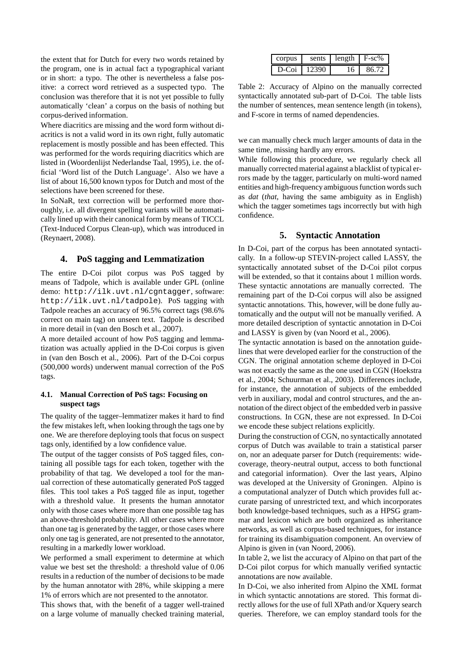the extent that for Dutch for every two words retained by the program, one is in actual fact a typographical variant or in short: a typo. The other is nevertheless a false positive: a correct word retrieved as a suspected typo. The conclusion was therefore that it is not yet possible to fully automatically 'clean' a corpus on the basis of nothing but corpus-derived information.

Where diacritics are missing and the word form without diacritics is not a valid word in its own right, fully automatic replacement is mostly possible and has been effected. This was performed for the words requiring diacritics which are listed in (Woordenlijst Nederlandse Taal, 1995), i.e. the official 'Word list of the Dutch Language'. Also we have a list of about 16,500 known typos for Dutch and most of the selections have been screened for these.

In SoNaR, text correction will be performed more thoroughly, i.e. all divergent spelling variants will be automatically lined up with their canonical form by means of TICCL (Text-Induced Corpus Clean-up), which was introduced in (Reynaert, 2008).

#### **4. PoS tagging and Lemmatization**

The entire D-Coi pilot corpus was PoS tagged by means of Tadpole, which is available under GPL (online demo: http://ilk.uvt.nl/cgntagger, software: http://ilk.uvt.nl/tadpole). PoS tagging with Tadpole reaches an accuracy of 96.5% correct tags (98.6% correct on main tag) on unseen text. Tadpole is described in more detail in (van den Bosch et al., 2007).

A more detailed account of how PoS tagging and lemmatization was actually applied in the D-Coi corpus is given in (van den Bosch et al., 2006). Part of the D-Coi corpus (500,000 words) underwent manual correction of the PoS tags.

#### **4.1. Manual Correction of PoS tags: Focusing on suspect tags**

The quality of the tagger–lemmatizer makes it hard to find the few mistakes left, when looking through the tags one by one. We are therefore deploying tools that focus on suspect tags only, identified by a low confidence value.

The output of the tagger consists of PoS tagged files, containing all possible tags for each token, together with the probability of that tag. We developed a tool for the manual correction of these automatically generated PoS tagged files. This tool takes a PoS tagged file as input, together with a threshold value. It presents the human annotator only with those cases where more than one possible tag has an above-threshold probability. All other cases where more than one tag is generated by the tagger, or those cases where only one tag is generated, are not presented to the annotator, resulting in a markedly lower workload.

We performed a small experiment to determine at which value we best set the threshold: a threshold value of 0.06 results in a reduction of the number of decisions to be made by the human annotator with 28%, while skipping a mere 1% of errors which are not presented to the annotator.

This shows that, with the benefit of a tagger well-trained on a large volume of manually checked training material,

| corpus | sents | length | $F-sc\%$ |
|--------|-------|--------|----------|
| D-Coi  | 12390 | ۱6     | 86.72    |

Table 2: Accuracy of Alpino on the manually corrected syntactically annotated sub-part of D-Coi. The table lists the number of sentences, mean sentence length (in tokens), and F-score in terms of named dependencies.

we can manually check much larger amounts of data in the same time, missing hardly any errors.

While following this procedure, we regularly check all manually corrected material against a blacklist of typical errors made by the tagger, particularly on multi-word named entities and high-frequency ambiguous function words such as *dat* (*that*, having the same ambiguity as in English) which the tagger sometimes tags incorrectly but with high confidence.

### **5. Syntactic Annotation**

In D-Coi, part of the corpus has been annotated syntactically. In a follow-up STEVIN-project called LASSY, the syntactically annotated subset of the D-Coi pilot corpus will be extended, so that it contains about 1 million words. These syntactic annotations are manually corrected. The remaining part of the D-Coi corpus will also be assigned syntactic annotations. This, however, will be done fully automatically and the output will not be manually verified. A more detailed description of syntactic annotation in D-Coi and LASSY is given by (van Noord et al., 2006).

The syntactic annotation is based on the annotation guidelines that were developed earlier for the construction of the CGN. The original annotation scheme deployed in D-Coi was not exactly the same as the one used in CGN (Hoekstra et al., 2004; Schuurman et al., 2003). Differences include, for instance, the annotation of subjects of the embedded verb in auxiliary, modal and control structures, and the annotation of the direct object of the embedded verb in passive constructions. In CGN, these are not expressed. In D-Coi we encode these subject relations explicitly.

During the construction of CGN, no syntactically annotated corpus of Dutch was available to train a statistical parser on, nor an adequate parser for Dutch (requirements: widecoverage, theory-neutral output, access to both functional and categorial information). Over the last years, Alpino was developed at the University of Groningen. Alpino is a computational analyzer of Dutch which provides full accurate parsing of unrestricted text, and which incorporates both knowledge-based techniques, such as a HPSG grammar and lexicon which are both organized as inheritance networks, as well as corpus-based techniques, for instance for training its disambiguation component. An overview of Alpino is given in (van Noord, 2006).

In table 2, we list the accuracy of Alpino on that part of the D-Coi pilot corpus for which manually verified syntactic annotations are now available.

In D-Coi, we also inherited from Alpino the XML format in which syntactic annotations are stored. This format directly allows for the use of full XPath and/or Xquery search queries. Therefore, we can employ standard tools for the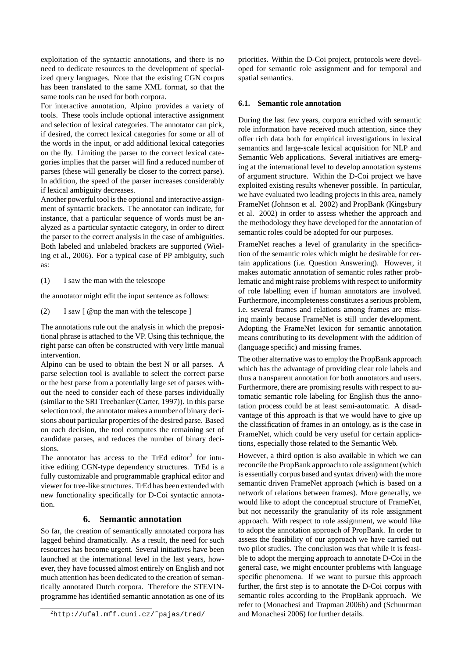exploitation of the syntactic annotations, and there is no need to dedicate resources to the development of specialized query languages. Note that the existing CGN corpus has been translated to the same XML format, so that the same tools can be used for both corpora.

For interactive annotation, Alpino provides a variety of tools. These tools include optional interactive assignment and selection of lexical categories. The annotator can pick, if desired, the correct lexical categories for some or all of the words in the input, or add additional lexical categories on the fly. Limiting the parser to the correct lexical categories implies that the parser will find a reduced number of parses (these will generally be closer to the correct parse). In addition, the speed of the parser increases considerably if lexical ambiguity decreases.

Another powerful tool is the optional and interactive assignment of syntactic brackets. The annotator can indicate, for instance, that a particular sequence of words must be analyzed as a particular syntactic category, in order to direct the parser to the correct analysis in the case of ambiguities. Both labeled and unlabeled brackets are supported (Wieling et al., 2006). For a typical case of PP ambiguity, such as:

(1) I saw the man with the telescope

the annotator might edit the input sentence as follows:

(2) I saw [ @np the man with the telescope ]

The annotations rule out the analysis in which the prepositional phrase is attached to the VP. Using this technique, the right parse can often be constructed with very little manual intervention.

Alpino can be used to obtain the best N or all parses. A parse selection tool is available to select the correct parse or the best parse from a potentially large set of parses without the need to consider each of these parses individually (similar to the SRI Treebanker (Carter, 1997)). In this parse selection tool, the annotator makes a number of binary decisions about particular properties of the desired parse. Based on each decision, the tool computes the remaining set of candidate parses, and reduces the number of binary decisions.

The annotator has access to the TrEd editor<sup>2</sup> for intuitive editing CGN-type dependency structures. TrEd is a fully customizable and programmable graphical editor and viewer for tree-like structures. TrEd has been extended with new functionality specifically for D-Coi syntactic annotation.

#### **6. Semantic annotation**

So far, the creation of semantically annotated corpora has lagged behind dramatically. As a result, the need for such resources has become urgent. Several initiatives have been launched at the international level in the last years, however, they have focussed almost entirely on English and not much attention has been dedicated to the creation of semantically annotated Dutch corpora. Therefore the STEVINprogramme has identified semantic annotation as one of its priorities. Within the D-Coi project, protocols were developed for semantic role assignment and for temporal and spatial semantics.

#### **6.1. Semantic role annotation**

During the last few years, corpora enriched with semantic role information have received much attention, since they offer rich data both for empirical investigations in lexical semantics and large-scale lexical acquisition for NLP and Semantic Web applications. Several initiatives are emerging at the international level to develop annotation systems of argument structure. Within the D-Coi project we have exploited existing results whenever possible. In particular, we have evaluated two leading projects in this area, namely FrameNet (Johnson et al. 2002) and PropBank (Kingsbury et al. 2002) in order to assess whether the approach and the methodology they have developed for the annotation of semantic roles could be adopted for our purposes.

FrameNet reaches a level of granularity in the specification of the semantic roles which might be desirable for certain applications (i.e. Question Answering). However, it makes automatic annotation of semantic roles rather problematic and might raise problems with respect to uniformity of role labelling even if human annotators are involved. Furthermore, incompleteness constitutes a serious problem, i.e. several frames and relations among frames are missing mainly because FrameNet is still under development. Adopting the FrameNet lexicon for semantic annotation means contributing to its development with the addition of (language specific) and missing frames.

The other alternative was to employ the PropBank approach which has the advantage of providing clear role labels and thus a transparent annotation for both annotators and users. Furthermore, there are promising results with respect to automatic semantic role labeling for English thus the annotation process could be at least semi-automatic. A disadvantage of this approach is that we would have to give up the classification of frames in an ontology, as is the case in FrameNet, which could be very useful for certain applications, especially those related to the Semantic Web.

However, a third option is also available in which we can reconcile the PropBank approach to role assignment (which is essentially corpus based and syntax driven) with the more semantic driven FrameNet approach (which is based on a network of relations between frames). More generally, we would like to adopt the conceptual structure of FrameNet, but not necessarily the granularity of its role assignment approach. With respect to role assignment, we would like to adopt the annotation approach of PropBank. In order to assess the feasibility of our approach we have carried out two pilot studies. The conclusion was that while it is feasible to adopt the merging approach to annotate D-Coi in the general case, we might encounter problems with language specific phenomena. If we want to pursue this approach further, the first step is to annotate the D-Coi corpus with semantic roles according to the PropBank approach. We refer to (Monachesi and Trapman 2006b) and (Schuurman and Monachesi 2006) for further details.

<sup>2</sup>http://ufal.mff.cuni.cz/˜pajas/tred/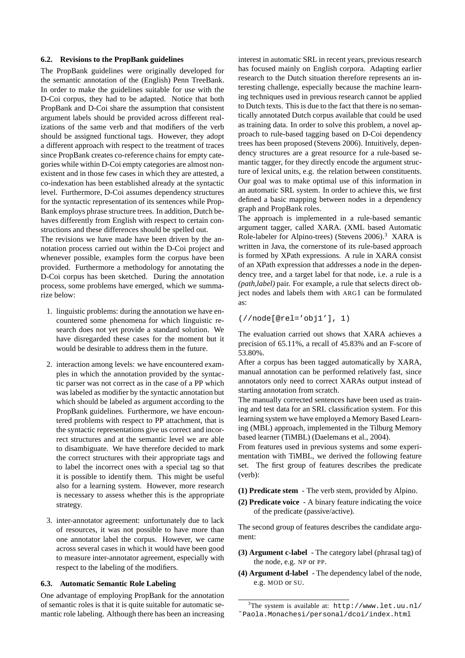#### **6.2. Revisions to the PropBank guidelines**

The PropBank guidelines were originally developed for the semantic annotation of the (English) Penn TreeBank. In order to make the guidelines suitable for use with the D-Coi corpus, they had to be adapted. Notice that both PropBank and D-Coi share the assumption that consistent argument labels should be provided across different realizations of the same verb and that modifiers of the verb should be assigned functional tags. However, they adopt a different approach with respect to the treatment of traces since PropBank creates co-reference chains for empty categories while within D-Coi empty categories are almost nonexistent and in those few cases in which they are attested, a co-indexation has been established already at the syntactic level. Furthermore, D-Coi assumes dependency structures for the syntactic representation of its sentences while Prop-Bank employs phrase structure trees. In addition, Dutch behaves differently from English with respect to certain constructions and these differences should be spelled out.

The revisions we have made have been driven by the annotation process carried out within the D-Coi project and whenever possible, examples form the corpus have been provided. Furthermore a methodology for annotating the D-Coi corpus has been sketched. During the annotation process, some problems have emerged, which we summarize below:

- 1. linguistic problems: during the annotation we have encountered some phenomena for which linguistic research does not yet provide a standard solution. We have disregarded these cases for the moment but it would be desirable to address them in the future.
- 2. interaction among levels: we have encountered examples in which the annotation provided by the syntactic parser was not correct as in the case of a PP which was labeled as modifier by the syntactic annotation but which should be labeled as argument according to the PropBank guidelines. Furthermore, we have encountered problems with respect to PP attachment, that is the syntactic representations give us correct and incorrect structures and at the semantic level we are able to disambiguate. We have therefore decided to mark the correct structures with their appropriate tags and to label the incorrect ones with a special tag so that it is possible to identify them. This might be useful also for a learning system. However, more research is necessary to assess whether this is the appropriate strategy.
- 3. inter-annotator agreement: unfortunately due to lack of resources, it was not possible to have more than one annotator label the corpus. However, we came across several cases in which it would have been good to measure inter-annotator agreement, especially with respect to the labeling of the modifiers.

#### **6.3. Automatic Semantic Role Labeling**

One advantage of employing PropBank for the annotation of semantic roles is that it is quite suitable for automatic semantic role labeling. Although there has been an increasing

interest in automatic SRL in recent years, previous research has focused mainly on English corpora. Adapting earlier research to the Dutch situation therefore represents an interesting challenge, especially because the machine learning techniques used in previous research cannot be applied to Dutch texts. This is due to the fact that there is no semantically annotated Dutch corpus available that could be used as training data. In order to solve this problem, a novel approach to rule-based tagging based on D-Coi dependency trees has been proposed (Stevens 2006). Intuitively, dependency structures are a great resource for a rule-based semantic tagger, for they directly encode the argument structure of lexical units, e.g. the relation between constituents. Our goal was to make optimal use of this information in an automatic SRL system. In order to achieve this, we first defined a basic mapping between nodes in a dependency graph and PropBank roles.

The approach is implemented in a rule-based semantic argument tagger, called XARA. (XML based Automatic Role-labeler for Alpino-trees) (Stevens 2006).<sup>3</sup> XARA is written in Java, the cornerstone of its rule-based approach is formed by XPath expressions. A rule in XARA consist of an XPath expression that addresses a node in the dependency tree, and a target label for that node, i.e. a rule is a *(path,label)* pair. For example, a rule that selects direct object nodes and labels them with ARG1 can be formulated as:

(//node[@rel='obj1'], 1)

The evaluation carried out shows that XARA achieves a precision of 65.11%, a recall of 45.83% and an F-score of 53.80%.

After a corpus has been tagged automatically by XARA, manual annotation can be performed relatively fast, since annotators only need to correct XARAs output instead of starting annotation from scratch.

The manually corrected sentences have been used as training and test data for an SRL classification system. For this learning system we have employed a Memory Based Learning (MBL) approach, implemented in the Tilburg Memory based learner (TiMBL) (Daelemans et al., 2004).

From features used in previous systems and some experimentation with TiMBL, we derived the following feature set. The first group of features describes the predicate (verb):

**(1) Predicate stem** - The verb stem, provided by Alpino.

**(2) Predicate voice** - A binary feature indicating the voice of the predicate (passive/active).

The second group of features describes the candidate argument:

- **(3) Argument c-label** The category label (phrasal tag) of the node, e.g. NP or PP.
- **(4) Argument d-label** The dependency label of the node, e.g. MOD or SU.

 $3$ The system is available at: http://www.let.uu.nl/ ˜Paola.Monachesi/personal/dcoi/index.html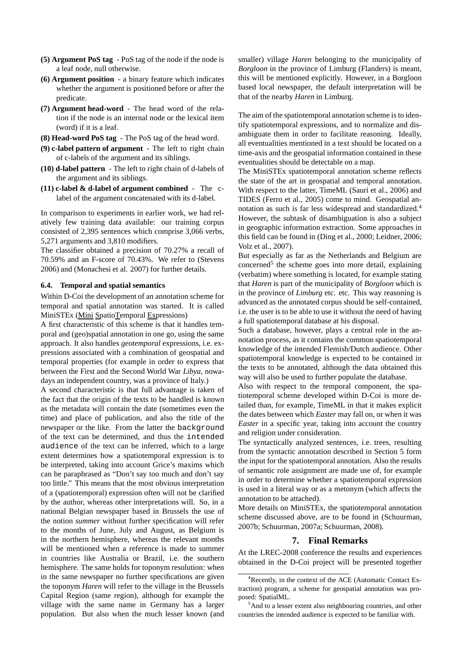- **(5) Argument PoS tag** PoS tag of the node if the node is a leaf node, null otherwise.
- **(6) Argument position** a binary feature which indicates whether the argument is positioned before or after the predicate.
- **(7) Argument head-word** The head word of the relation if the node is an internal node or the lexical item (word) if it is a leaf.
- **(8) Head-word PoS tag** The PoS tag of the head word.
- **(9) c-label pattern of argument** The left to right chain of c-labels of the argument and its siblings.
- **(10) d-label pattern** The left to right chain of d-labels of the argument and its siblings.
- **(11) c-label & d-label of argument combined** The clabel of the argument concatenated with its d-label.

In comparison to experiments in earlier work, we had relatively few training data available: our training corpus consisted of 2,395 sentences which comprise 3,066 verbs, 5,271 arguments and 3,810 modifiers.

The classifier obtained a precision of 70.27% a recall of 70.59% and an F-score of 70.43%. We refer to (Stevens 2006) and (Monachesi et al. 2007) for further details.

#### **6.4. Temporal and spatial semantics**

Within D-Coi the development of an annotation scheme for temporal and spatial annotation was started. It is called MiniSTEx (Mini SpatioTemporal Expressions)

A first characteristic of this scheme is that it handles temporal and (geo)spatial annotation in one go, using the same approach. It also handles *geotemporal* expressions, i.e. expressions associated with a combination of geospatial and temporal properties (for example in order to express that between the First and the Second World War *Libya*, nowadays an independent country, was a province of Italy.)

A second characteristic is that full advantage is taken of the fact that the origin of the texts to be handled is known as the metadata will contain the date (sometimes even the time) and place of publication, and also the title of the newspaper or the like. From the latter the background of the text can be determined, and thus the intended audience of the text can be inferred, which to a large extent determines how a spatiotemporal expression is to be interpreted, taking into account Grice's maxims which can be paraphrased as "Don't say too much and don't say too little." This means that the most obvious interpretation of a (spatiotemporal) expression often will not be clarified by the author, whereas other interpretations will. So, in a national Belgian newspaper based in Brussels the use of the notion *summer* without further specification will refer to the months of June, July and August, as Belgium is in the northern hemisphere, whereas the relevant months will be mentioned when a reference is made to summer in countries like Australia or Brazil, i.e. the southern hemisphere. The same holds for toponym resolution: when in the same newspaper no further specifications are given the toponym *Haren* will refer to the village in the Brussels Capital Region (same region), although for example the village with the same name in Germany has a larger population. But also when the much lesser known (and

smaller) village *Haren* belonging to the municipality of *Borgloon* in the province of Limburg (Flanders) is meant, this will be mentioned explicitly. However, in a Borgloon based local newspaper, the default interpretation will be that of the nearby *Haren* in Limburg.

The aim of the spatiotemporal annotation scheme is to identify spatiotemporal expressions, and to normalize and disambiguate them in order to facilitate reasoning. Ideally, all eventualities mentioned in a text should be located on a time-axis and the geospatial information contained in these eventualities should be detectable on a map.

The MiniSTEx spatiotemporal annotation scheme reflects the state of the art in geospatial and temporal annotation. With respect to the latter, TimeML (Sauri et al., 2006) and TIDES (Ferro et al., 2005) come to mind. Geospatial annotation as such is far less widespread and standardized.<sup>4</sup> However, the subtask of disambiguation is also a subject in geographic information extraction. Some approaches in this field can be found in (Ding et al., 2000; Leidner, 2006; Volz et al., 2007).

But especially as far as the Netherlands and Belgium are concerned<sup>5</sup> the scheme goes into more detail, explaining (verbatim) where something is located, for example stating that *Haren* is part of the municipality of *Borgloon* which is in the province of *Limburg* etc. etc. This way reasoning is advanced as the annotated corpus should be self-contained, i.e. the user is to be able to use it without the need of having a full spatiotemporal database at his disposal.

Such a database, however, plays a central role in the annotation process, as it contains the common spatiotemporal knowledge of the intended Flemish/Dutch audience. Other spatiotemporal knowledge is expected to be contained in the texts to be annotated, although the data obtained this way will also be used to further populate the database.

Also with respect to the temporal component, the spatiotemporal scheme developed within D-Coi is more detailed than, for example, TimeML in that it makes explicit the dates between which *Easter* may fall on, or when it was *Easter* in a specific year, taking into account the country and religion under consideration.

The syntactically analyzed sentences, i.e. trees, resulting from the syntactic annotation described in Section 5 form the input for the spatiotemporal annotation. Also the results of semantic role assignment are made use of, for example in order to determine whether a spatiotemporal expression is used in a literal way or as a metonym (which affects the annotation to be attached).

More details on MiniSTEx, the spatiotemporal annotation scheme discussed above, are to be found in (Schuurman, 2007b; Schuurman, 2007a; Schuurman, 2008).

#### **7. Final Remarks**

At the LREC-2008 conference the results and experiences obtained in the D-Coi project will be presented together

<sup>4</sup>Recently, in the context of the ACE (Automatic Contact Extraction) program, a scheme for geospatial annotation was proposed: SpatialML.

<sup>&</sup>lt;sup>5</sup>And to a lesser extent also neighbouring countries, and other countries the intended audience is expected to be familiar with.